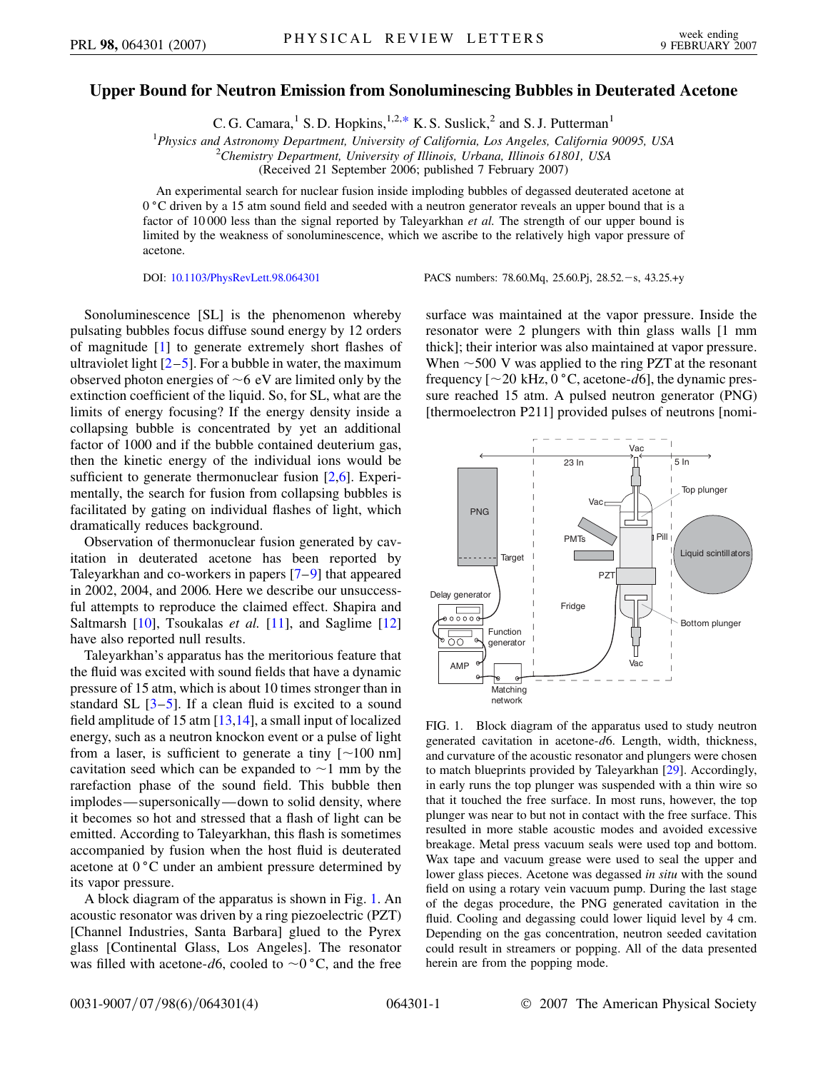## <span id="page-0-1"></span>**Upper Bound for Neutron Emission from Sonoluminescing Bubbles in Deuterated Acetone**

C. G. Camara,<sup>1</sup> S. D. Hopkins,<sup>1,2[,\\*](#page-3-0)</sup> K. S. Suslick,<sup>2</sup> and S. J. Putterman<sup>1</sup>

<sup>1</sup> Physics and Astronomy Department, University of California, Los Angeles, California 90095, USA<br><sup>2</sup> Chamistry Department University of Illinois, Urbana, Illinois, 61801, USA

*Chemistry Department, University of Illinois, Urbana, Illinois 61801, USA*

(Received 21 September 2006; published 7 February 2007)

An experimental search for nuclear fusion inside imploding bubbles of degassed deuterated acetone at 0 °C driven by a 15 atm sound field and seeded with a neutron generator reveals an upper bound that is a factor of 10 000 less than the signal reported by Taleyarkhan *et al.* The strength of our upper bound is limited by the weakness of sonoluminescence, which we ascribe to the relatively high vapor pressure of acetone.

DOI: [10.1103/PhysRevLett.98.064301](http://dx.doi.org/10.1103/PhysRevLett.98.064301) PACS numbers: 78.60.Mq, 25.60.Pj, 28.52.-s, 43.25.+y

Sonoluminescence [SL] is the phenomenon whereby pulsating bubbles focus diffuse sound energy by 12 orders of magnitude [[1\]](#page-3-1) to generate extremely short flashes of ultraviolet light  $[2-5]$  $[2-5]$  $[2-5]$ . For a bubble in water, the maximum observed photon energies of  $\sim$  6 eV are limited only by the extinction coefficient of the liquid. So, for SL, what are the limits of energy focusing? If the energy density inside a collapsing bubble is concentrated by yet an additional factor of 1000 and if the bubble contained deuterium gas, then the kinetic energy of the individual ions would be sufficient to generate thermonuclear fusion [[2](#page-3-2),[6\]](#page-3-4). Experimentally, the search for fusion from collapsing bubbles is facilitated by gating on individual flashes of light, which dramatically reduces background.

Observation of thermonuclear fusion generated by cavitation in deuterated acetone has been reported by Taleyarkhan and co-workers in papers [[7](#page-3-5)[–9\]](#page-3-6) that appeared in 2002, 2004, and 2006. Here we describe our unsuccessful attempts to reproduce the claimed effect. Shapira and Saltmarsh [[10](#page-3-7)], Tsoukalas *et al.* [\[11\]](#page-3-8), and Saglime [\[12\]](#page-3-9) have also reported null results.

Taleyarkhan's apparatus has the meritorious feature that the fluid was excited with sound fields that have a dynamic pressure of 15 atm, which is about 10 times stronger than in standard SL  $[3-5]$  $[3-5]$  $[3-5]$ . If a clean fluid is excited to a sound field amplitude of 15 atm  $[13,14]$  $[13,14]$ , a small input of localized energy, such as a neutron knockon event or a pulse of light from a laser, is sufficient to generate a tiny  $\lceil \sim 100 \text{ nm} \rceil$ cavitation seed which can be expanded to  $\sim$  1 mm by the rarefaction phase of the sound field. This bubble then implodes—supersonically—down to solid density, where it becomes so hot and stressed that a flash of light can be emitted. According to Taleyarkhan, this flash is sometimes accompanied by fusion when the host fluid is deuterated acetone at  $0^{\circ}$ C under an ambient pressure determined by its vapor pressure.

A block diagram of the apparatus is shown in Fig. [1](#page-0-0). An acoustic resonator was driven by a ring piezoelectric (PZT) [Channel Industries, Santa Barbara] glued to the Pyrex glass [Continental Glass, Los Angeles]. The resonator was filled with acetone- $d6$ , cooled to  $\sim 0$  °C, and the free surface was maintained at the vapor pressure. Inside the resonator were 2 plungers with thin glass walls [1 mm thick]; their interior was also maintained at vapor pressure. When  $\sim$  500 V was applied to the ring PZT at the resonant frequency  $[-20 \text{ kHz}, 0 \degree \text{C}, \text{acetone-}d6]$ , the dynamic pressure reached 15 atm. A pulsed neutron generator (PNG) [thermoelectron P211] provided pulses of neutrons [nomi-

<span id="page-0-0"></span>

FIG. 1. Block diagram of the apparatus used to study neutron generated cavitation in acetone-*d*6. Length, width, thickness, and curvature of the acoustic resonator and plungers were chosen to match blueprints provided by Taleyarkhan [\[29\]](#page-3-13). Accordingly, in early runs the top plunger was suspended with a thin wire so that it touched the free surface. In most runs, however, the top plunger was near to but not in contact with the free surface. This resulted in more stable acoustic modes and avoided excessive breakage. Metal press vacuum seals were used top and bottom. Wax tape and vacuum grease were used to seal the upper and lower glass pieces. Acetone was degassed *in situ* with the sound field on using a rotary vein vacuum pump. During the last stage of the degas procedure, the PNG generated cavitation in the fluid. Cooling and degassing could lower liquid level by 4 cm. Depending on the gas concentration, neutron seeded cavitation could result in streamers or popping. All of the data presented herein are from the popping mode.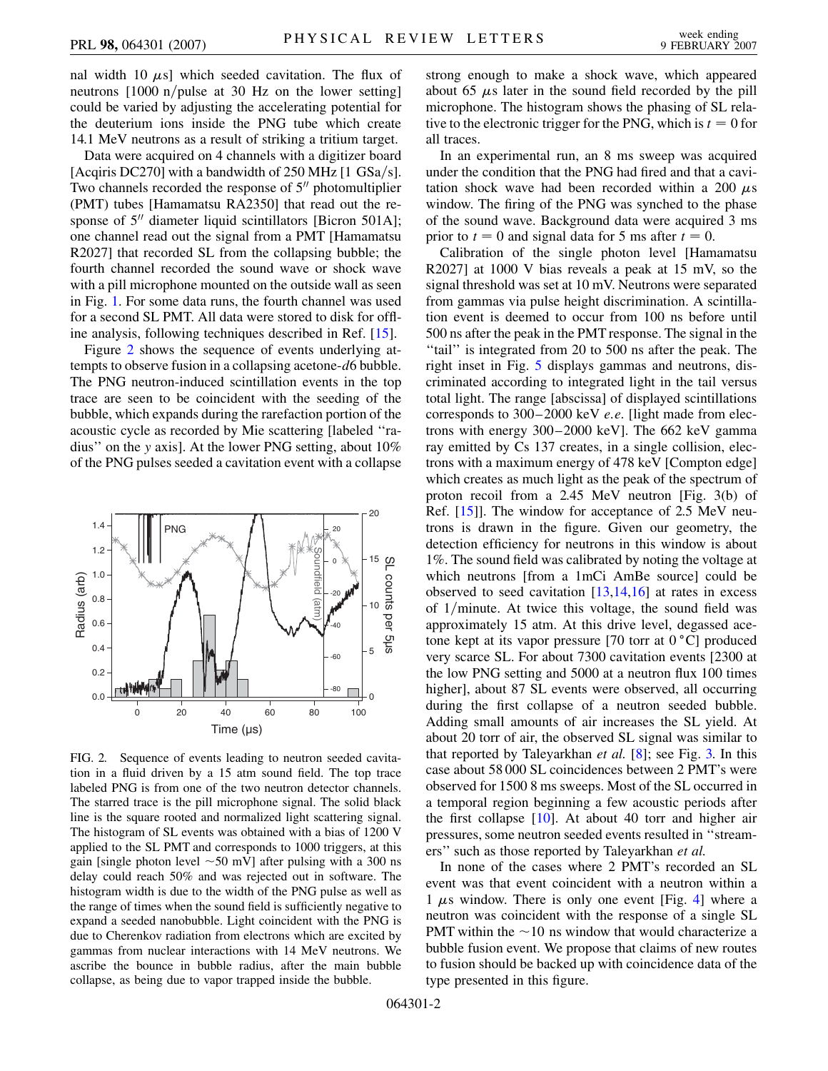nal width 10  $\mu$ s] which seeded cavitation. The flux of neutrons [1000 n/pulse at 30 Hz on the lower setting] could be varied by adjusting the accelerating potential for the deuterium ions inside the PNG tube which create 14.1 MeV neutrons as a result of striking a tritium target.

Data were acquired on 4 channels with a digitizer board [Acqiris DC270] with a bandwidth of 250 MHz [1 GSa/s]. Two channels recorded the response of  $5<sup>0</sup>$  photomultiplier (PMT) tubes [Hamamatsu RA2350] that read out the response of  $5$ <sup>n</sup> diameter liquid scintillators [Bicron 501A]; one channel read out the signal from a PMT [Hamamatsu R2027] that recorded SL from the collapsing bubble; the fourth channel recorded the sound wave or shock wave with a pill microphone mounted on the outside wall as seen in Fig. [1.](#page-0-0) For some data runs, the fourth channel was used for a second SL PMT. All data were stored to disk for offline analysis, following techniques described in Ref. [\[15\]](#page-3-14).

Figure [2](#page-1-0) shows the sequence of events underlying attempts to observe fusion in a collapsing acetone-*d*6 bubble. The PNG neutron-induced scintillation events in the top trace are seen to be coincident with the seeding of the bubble, which expands during the rarefaction portion of the acoustic cycle as recorded by Mie scattering [labeled ''radius'' on the *y* axis]. At the lower PNG setting, about 10% of the PNG pulses seeded a cavitation event with a collapse

<span id="page-1-0"></span>

FIG. 2. Sequence of events leading to neutron seeded cavitation in a fluid driven by a 15 atm sound field. The top trace labeled PNG is from one of the two neutron detector channels. The starred trace is the pill microphone signal. The solid black line is the square rooted and normalized light scattering signal. The histogram of SL events was obtained with a bias of 1200 V applied to the SL PMT and corresponds to 1000 triggers, at this gain [single photon level  $\sim$  50 mV] after pulsing with a 300 ns delay could reach 50% and was rejected out in software. The histogram width is due to the width of the PNG pulse as well as the range of times when the sound field is sufficiently negative to expand a seeded nanobubble. Light coincident with the PNG is due to Cherenkov radiation from electrons which are excited by gammas from nuclear interactions with 14 MeV neutrons. We ascribe the bounce in bubble radius, after the main bubble collapse, as being due to vapor trapped inside the bubble.

strong enough to make a shock wave, which appeared about 65  $\mu$ s later in the sound field recorded by the pill microphone. The histogram shows the phasing of SL relative to the electronic trigger for the PNG, which is  $t = 0$  for all traces.

In an experimental run, an 8 ms sweep was acquired under the condition that the PNG had fired and that a cavitation shock wave had been recorded within a 200  $\mu$ s window. The firing of the PNG was synched to the phase of the sound wave. Background data were acquired 3 ms prior to  $t = 0$  and signal data for 5 ms after  $t = 0$ .

Calibration of the single photon level [Hamamatsu R2027] at 1000 V bias reveals a peak at 15 mV, so the signal threshold was set at 10 mV. Neutrons were separated from gammas via pulse height discrimination. A scintillation event is deemed to occur from 100 ns before until 500 ns after the peak in the PMT response. The signal in the ''tail'' is integrated from 20 to 500 ns after the peak. The right inset in Fig. [5](#page-2-0) displays gammas and neutrons, discriminated according to integrated light in the tail versus total light. The range [abscissa] of displayed scintillations corresponds to 300–2000 keV *e:e:* [light made from electrons with energy 300–2000 keV]. The 662 keV gamma ray emitted by Cs 137 creates, in a single collision, electrons with a maximum energy of 478 keV [Compton edge] which creates as much light as the peak of the spectrum of proton recoil from a 2.45 MeV neutron [Fig. 3(b) of Ref. [\[15](#page-3-14)]]. The window for acceptance of 2.5 MeV neutrons is drawn in the figure. Given our geometry, the detection efficiency for neutrons in this window is about 1%. The sound field was calibrated by noting the voltage at which neutrons [from a 1mCi AmBe source] could be observed to seed cavitation  $[13,14,16]$  $[13,14,16]$  $[13,14,16]$  $[13,14,16]$  $[13,14,16]$  $[13,14,16]$  $[13,14,16]$  at rates in excess of 1/minute. At twice this voltage, the sound field was approximately 15 atm. At this drive level, degassed acetone kept at its vapor pressure [70 torr at  $0^{\circ}$ C] produced very scarce SL. For about 7300 cavitation events [2300 at the low PNG setting and 5000 at a neutron flux 100 times higher], about 87 SL events were observed, all occurring during the first collapse of a neutron seeded bubble. Adding small amounts of air increases the SL yield. At about 20 torr of air, the observed SL signal was similar to that reported by Taleyarkhan *et al.* [\[8](#page-3-16)]; see Fig. [3.](#page-2-1) In this case about 58 000 SL coincidences between 2 PMT's were observed for 1500 8 ms sweeps. Most of the SL occurred in a temporal region beginning a few acoustic periods after the first collapse [[10](#page-3-7)]. At about 40 torr and higher air pressures, some neutron seeded events resulted in ''streamers'' such as those reported by Taleyarkhan *et al.*

In none of the cases where 2 PMT's recorded an SL event was that event coincident with a neutron within a 1  $\mu$ s window. There is only one event [Fig. [4\]](#page-2-2) where a neutron was coincident with the response of a single SL PMT within the  $\sim$ 10 ns window that would characterize a bubble fusion event. We propose that claims of new routes to fusion should be backed up with coincidence data of the type presented in this figure.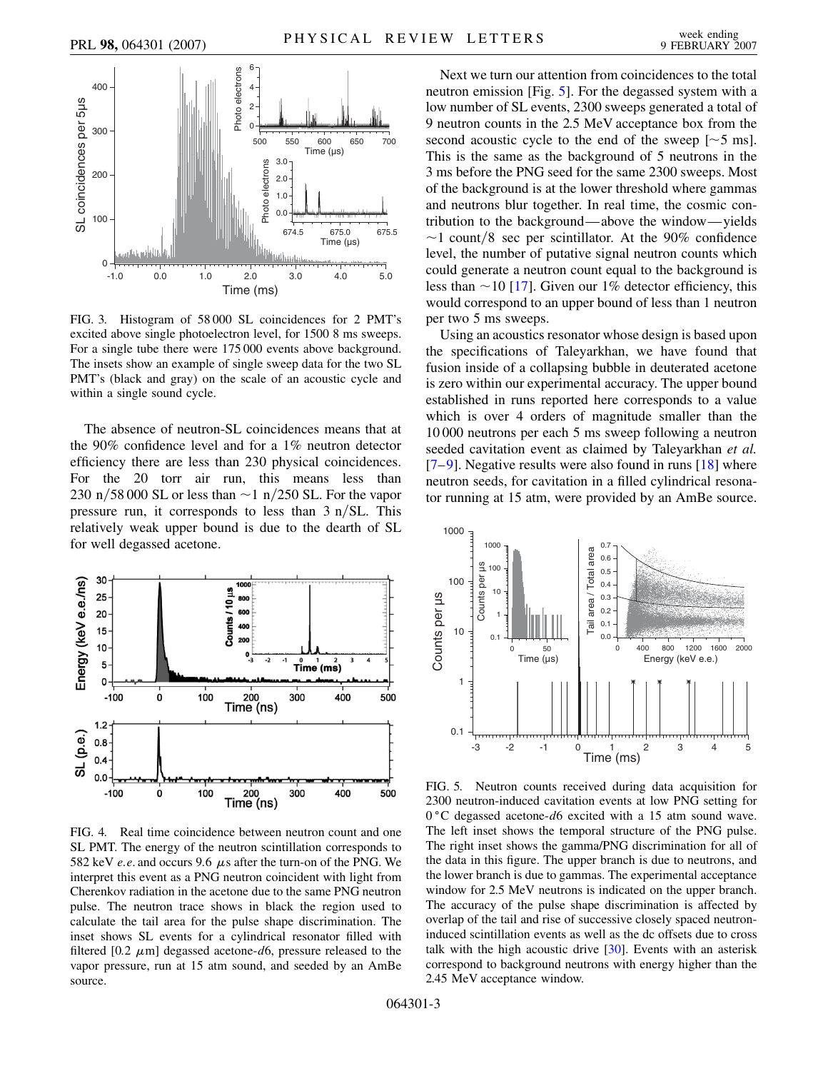<span id="page-2-1"></span>

FIG. 3. Histogram of 58 000 SL coincidences for 2 PMT's excited above single photoelectron level, for 1500 8 ms sweeps. For a single tube there were 175 000 events above background. The insets show an example of single sweep data for the two SL PMT's (black and gray) on the scale of an acoustic cycle and within a single sound cycle.

The absence of neutron-SL coincidences means that at the 90% confidence level and for a 1% neutron detector efficiency there are less than 230 physical coincidences. For the 20 torr air run, this means less than 230 n/58 000 SL or less than  $\sim$ 1 n/250 SL. For the vapor pressure run, it corresponds to less than 3 n/SL. This relatively weak upper bound is due to the dearth of SL for well degassed acetone.

<span id="page-2-2"></span>

FIG. 4. Real time coincidence between neutron count and one SL PMT. The energy of the neutron scintillation corresponds to 582 keV  $e.e.$  and occurs 9.6  $\mu$ s after the turn-on of the PNG. We interpret this event as a PNG neutron coincident with light from Cherenkov radiation in the acetone due to the same PNG neutron pulse. The neutron trace shows in black the region used to calculate the tail area for the pulse shape discrimination. The inset shows SL events for a cylindrical resonator filled with filtered  $[0.2 \ \mu m]$  degassed acetone- $d6$ , pressure released to the vapor pressure, run at 15 atm sound, and seeded by an AmBe source.

Next we turn our attention from coincidences to the total neutron emission [Fig. [5\]](#page-2-0). For the degassed system with a low number of SL events, 2300 sweeps generated a total of 9 neutron counts in the 2.5 MeV acceptance box from the second acoustic cycle to the end of the sweep  $\lceil \sim 5 \text{ ms} \rceil$ . This is the same as the background of 5 neutrons in the 3 ms before the PNG seed for the same 2300 sweeps. Most of the background is at the lower threshold where gammas and neutrons blur together. In real time, the cosmic contribution to the background—above the window—yields  $\sim$ 1 count/8 sec per scintillator. At the 90% confidence level, the number of putative signal neutron counts which could generate a neutron count equal to the background is less than  $\sim$  10 [\[17\]](#page-3-17). Given our 1% detector efficiency, this would correspond to an upper bound of less than 1 neutron per two 5 ms sweeps.

Using an acoustics resonator whose design is based upon the specifications of Taleyarkhan, we have found that fusion inside of a collapsing bubble in deuterated acetone is zero within our experimental accuracy. The upper bound established in runs reported here corresponds to a value which is over 4 orders of magnitude smaller than the 10 000 neutrons per each 5 ms sweep following a neutron seeded cavitation event as claimed by Taleyarkhan *et al.*  $[7-9]$  $[7-9]$ . Negative results were also found in runs  $[18]$  $[18]$  $[18]$  where neutron seeds, for cavitation in a filled cylindrical resonator running at 15 atm, were provided by an AmBe source.

<span id="page-2-0"></span>

FIG. 5. Neutron counts received during data acquisition for 2300 neutron-induced cavitation events at low PNG setting for 0 C degassed acetone-*d*6 excited with a 15 atm sound wave. The left inset shows the temporal structure of the PNG pulse. The right inset shows the gamma/PNG discrimination for all of the data in this figure. The upper branch is due to neutrons, and the lower branch is due to gammas. The experimental acceptance window for 2.5 MeV neutrons is indicated on the upper branch. The accuracy of the pulse shape discrimination is affected by overlap of the tail and rise of successive closely spaced neutroninduced scintillation events as well as the dc offsets due to cross talk with the high acoustic drive [[30](#page-3-19)]. Events with an asterisk correspond to background neutrons with energy higher than the 2.45 MeV acceptance window.